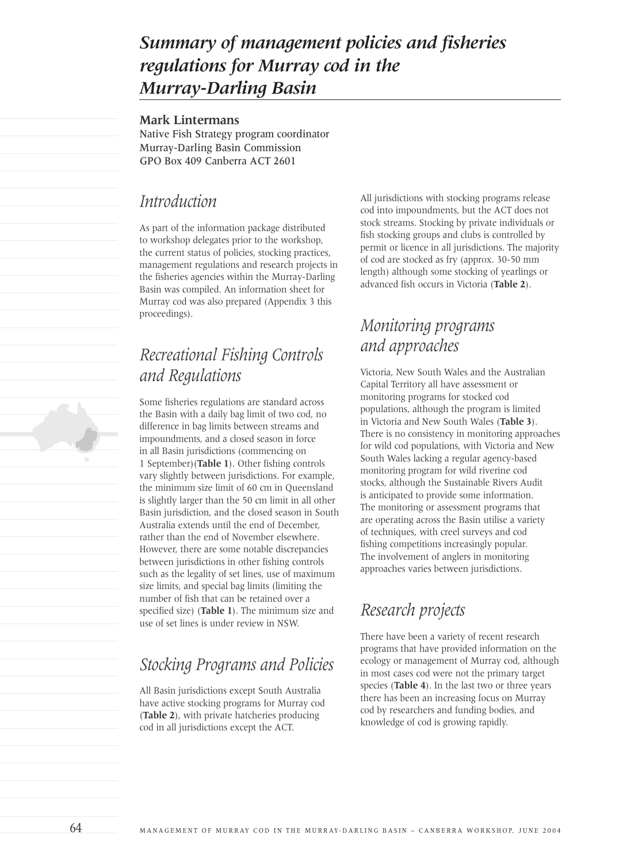# *Summary of management policies and fisheries regulations for Murray cod in the Murray-Darling Basin*

#### **Mark Lintermans**

Native Fish Strategy program coordinator Murray-Darling Basin Commission GPO Box 409 Canberra ACT 2601

### *Introduction*

As part of the information package distributed to workshop delegates prior to the workshop, the current status of policies, stocking practices, management regulations and research projects in the fisheries agencies within the Murray-Darling Basin was compiled. An information sheet for Murray cod was also prepared (Appendix 3 this proceedings).

# *Recreational Fishing Controls and Regulations*

Some fisheries regulations are standard across the Basin with a daily bag limit of two cod, no difference in bag limits between streams and impoundments, and a closed season in force in all Basin jurisdictions (commencing on 1 September)(**Table 1**). Other fishing controls vary slightly between jurisdictions. For example, the minimum size limit of 60 cm in Queensland is slightly larger than the 50 cm limit in all other Basin jurisdiction, and the closed season in South Australia extends until the end of December, rather than the end of November elsewhere. However, there are some notable discrepancies between jurisdictions in other fishing controls such as the legality of set lines, use of maximum size limits, and special bag limits (limiting the number of fish that can be retained over a specified size) (**Table 1**). The minimum size and use of set lines is under review in NSW.

### *Stocking Programs and Policies*

All Basin jurisdictions except South Australia have active stocking programs for Murray cod (**Table 2**), with private hatcheries producing cod in all jurisdictions except the ACT.

All jurisdictions with stocking programs release cod into impoundments, but the ACT does not stock streams. Stocking by private individuals or fish stocking groups and clubs is controlled by permit or licence in all jurisdictions. The majority of cod are stocked as fry (approx. 30-50 mm length) although some stocking of yearlings or advanced fish occurs in Victoria (**Table 2**).

## *Monitoring programs and approaches*

Victoria, New South Wales and the Australian Capital Territory all have assessment or monitoring programs for stocked cod populations, although the program is limited in Victoria and New South Wales (**Table 3**). There is no consistency in monitoring approaches for wild cod populations, with Victoria and New South Wales lacking a regular agency-based monitoring program for wild riverine cod stocks, although the Sustainable Rivers Audit is anticipated to provide some information. The monitoring or assessment programs that are operating across the Basin utilise a variety of techniques, with creel surveys and cod fishing competitions increasingly popular. The involvement of anglers in monitoring approaches varies between jurisdictions.

### *Research projects*

There have been a variety of recent research programs that have provided information on the ecology or management of Murray cod, although in most cases cod were not the primary target species (**Table 4**). In the last two or three years there has been an increasing focus on Murray cod by researchers and funding bodies, and knowledge of cod is growing rapidly.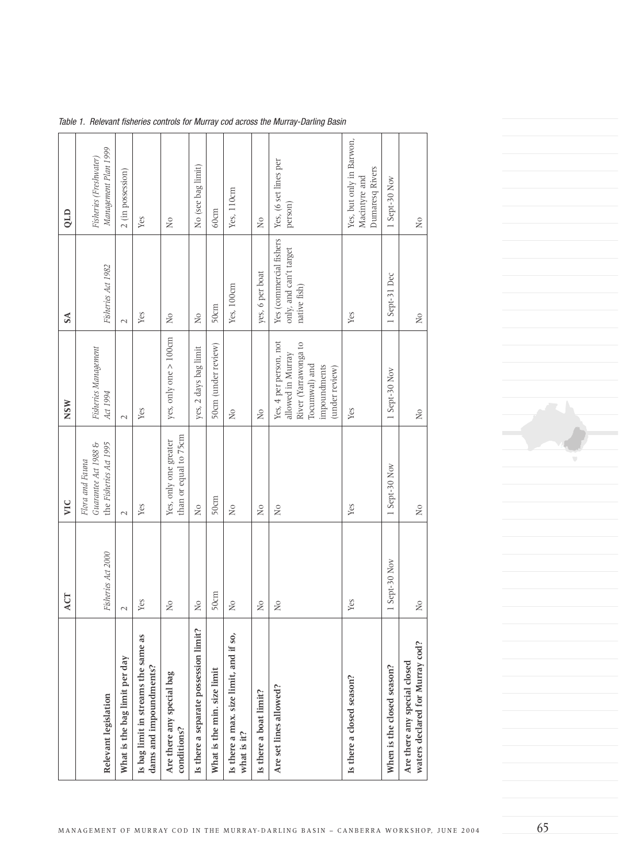|                                                                 | ACT                     | VIC                                                               | <b>NSW</b>                                                                                                             | <b>SA</b>                                                         | QLD                                                          |
|-----------------------------------------------------------------|-------------------------|-------------------------------------------------------------------|------------------------------------------------------------------------------------------------------------------------|-------------------------------------------------------------------|--------------------------------------------------------------|
| Relevant legislation                                            | Fisheries Act 2000      | Guarantee Act 1988 &<br>the Fisheries Act 1995<br>Flora and Fauna | Fisheries Management<br>Act 1994                                                                                       | Fisheries Act 1982                                                | Management Plan 1999<br>Fisheries (Freshwater)               |
| What is the bag limit per day                                   | $\mathcal{L}$           | $\sim$                                                            | $\sim$                                                                                                                 | $\sim$                                                            | 2 (in possession)                                            |
| Is bag limit in streams the same as<br>dams and impoundments?   | Yes                     | Yes                                                               | Yes                                                                                                                    | Yes                                                               | Yes                                                          |
| Are there any special bag<br>conditions?                        | $\overline{N}$          | than or equal to 75cm<br>Yes, only one greater                    | yes, only one > 100cm                                                                                                  | $\overline{N}$                                                    | $_{\rm No}$                                                  |
| Is there a separate possession limit?                           | N <sub>0</sub>          | Χo                                                                | yes, 2 days bag limit                                                                                                  | N <sub>0</sub>                                                    | No (see bag limit)                                           |
| What is the min. size limit                                     | 50cm                    | 50cm                                                              | 50cm (under review)                                                                                                    | 50cm                                                              | 60cm                                                         |
| Is there a max. size limit, and if so,<br>what is it?           | $_{\rm No}$             | $\overline{N}$                                                    | $_{\rm No}$                                                                                                            | Yes, 100cm                                                        | Yes, 110cm                                                   |
| Is there a boat limit?                                          | <b>Νο</b>               | $\overline{N}$                                                    | $_{\rm No}$                                                                                                            | yes, 6 per boat                                                   | <b>Nο</b>                                                    |
| Are set lines allowed?                                          | $\overline{\mathsf{X}}$ | $\overline{\mathsf{X}}$                                           | Yes, 4 per person, not<br>River (Yarrawonga to<br>allowed in Murray<br>Tocumwal) and<br>impoundments<br>(under review) | Yes (commercial fishers<br>only, and can't target<br>native fish) | Yes, (6 set lines per<br>person)                             |
| Is there a closed season?                                       | Yes                     | Yes                                                               | Yes                                                                                                                    | Yes                                                               | Yes, but only in Barwon,<br>Dumaresq Rivers<br>Macintyre and |
| When is the closed season?                                      | 1 Sept-30 Nov           | 1 Sept-30 Nov                                                     | 1 Sept-30 Nov                                                                                                          | 1 Sept-31 Dec                                                     | 1 Sept-30 Nov                                                |
| waters declared for Murray cod?<br>Are there any special closed | $\overline{a}$          | $\overline{N}$                                                    | $\overline{N}$                                                                                                         | $\mathsf{S}^{\mathsf{O}}$                                         | $\overline{N}$                                               |

Table 1. Relevant fisheries controls for Murray cod across the Murray-Darling Basin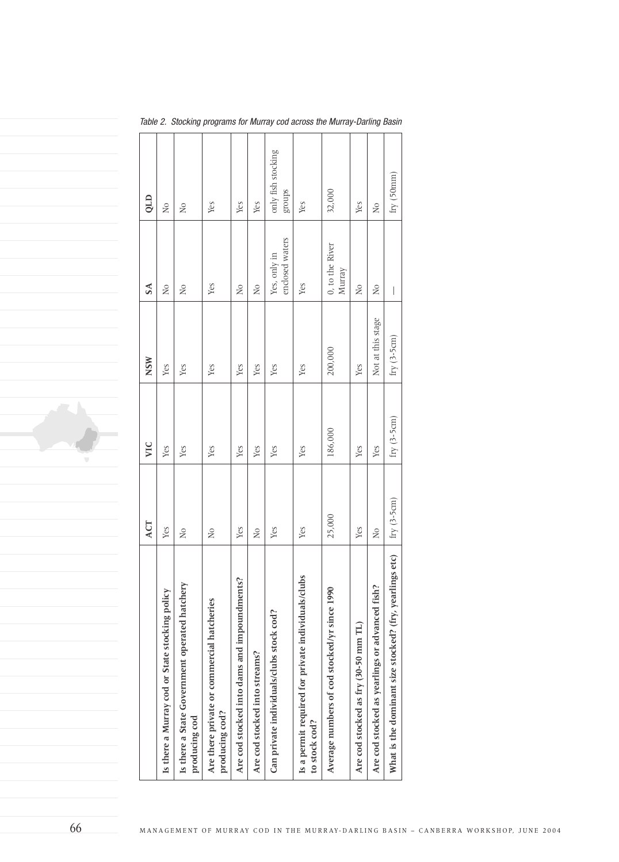|                                                                     | ACT            | VIC           | <b>NSW</b>        | $\mathbf{S}$                    | QLD                          |
|---------------------------------------------------------------------|----------------|---------------|-------------------|---------------------------------|------------------------------|
| Is there a Murray cod or State stocking policy                      | Yes            | Yes           | Yes               | $\overline{N}$                  | $\overline{N}$               |
| Is there a State Government operated hatchery<br>producing cod      | $\overline{N}$ | Yes           | Yes               | $\overline{N}$                  | $\tilde{R}$                  |
| Are there private or commercial hatcheries<br>producing cod?        | $\overline{N}$ | Yes           | Yes               | Yes                             | Yes                          |
| Are cod stocked into dams and impoundments?                         | Yes            | Yes           | Yes               | $\overline{N}$                  | Yes                          |
| Are cod stocked into streams?                                       | $\overline{N}$ | Yes           | Yes               | $_{\rm N_O}$                    | Yes                          |
| Can private individuals/clubs stock cod?                            | Yes            | Yes           | Yes               | enclosed waters<br>Yes, only in | only fish stocking<br>stonbs |
| Is a permit required for private individuals/clubs<br>to stock cod? | Yes            | Yes           | Yes               | Yes                             | Yes                          |
| Average numbers of cod stocked/yr since 1990                        | 25,000         | 186,000       | 200,000           | 0, to the River<br>Murray       | 32,000                       |
| Are cod stocked as fry (30-50 mm TL)                                | Yes            | Yes           | Yes               | $_{\rm N_O}$                    | Yes                          |
| Are cod stocked as yearlings or advanced fish?                      | $\overline{N}$ | Yes           | Not at this stage | $\overline{N}$                  | $\overline{N}$               |
| What is the dominant size stocked? (fry, yearlings etc)             | $fry(3-5cm)$   | fry $(3-5cm)$ | fry $(3-5cm)$     | $\bigg $                        | fry(50mm)                    |

Table 2. Stocking programs for Murray cod across the Murray-Darling Basin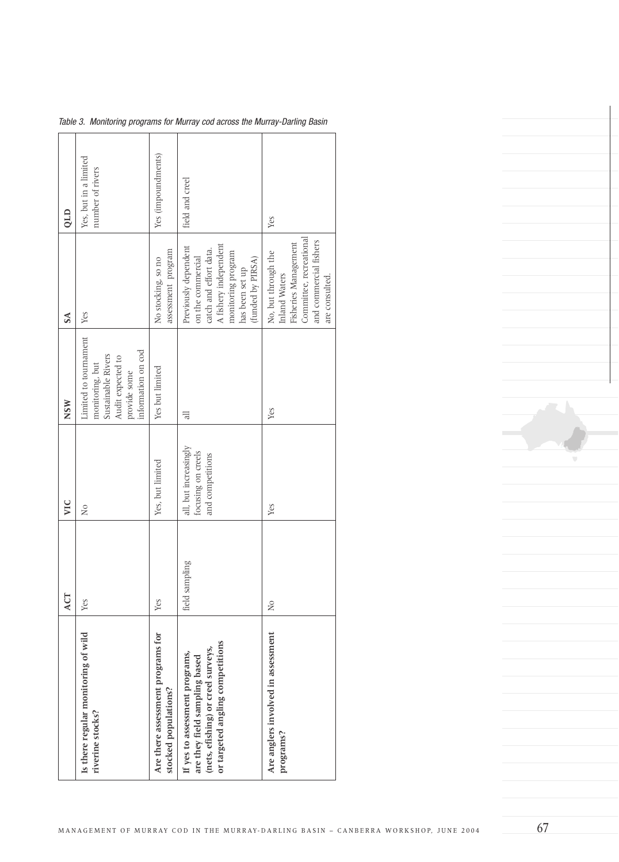| QLD        | Yes, but in a limited<br>number of rivers                                                                                 | Yes (impoundments)                                        | field and creel                                                                                                                                            | Yes                                                                                                                                 |
|------------|---------------------------------------------------------------------------------------------------------------------------|-----------------------------------------------------------|------------------------------------------------------------------------------------------------------------------------------------------------------------|-------------------------------------------------------------------------------------------------------------------------------------|
| $S\Lambda$ | Yes                                                                                                                       | assessment program<br>No stocking, so no                  | Previously dependent<br>A fishery independent<br>catch and effort data.<br>monitoring program<br>on the commercial<br>(funded by PIRSA)<br>has been set up | Committee, recreational<br>and commercial fishers<br>Fisheries Management<br>No, but through the<br>Inland Waters<br>are consulted. |
| <b>NSW</b> | Limited to tournament<br>information on cod<br>Sustainable Rivers<br>Audit expected to<br>monitoring, but<br>provide some | Yes but limited                                           | 금                                                                                                                                                          | Yes                                                                                                                                 |
| VIC        | $\frac{1}{2}$                                                                                                             | Yes, but limited                                          | all, but increasingly<br>focusing on creels<br>and competitions                                                                                            | Yes                                                                                                                                 |
| ACT        | Yes                                                                                                                       | Yes                                                       | sampling<br>field                                                                                                                                          | $\frac{1}{2}$                                                                                                                       |
|            | Is there regular monitoring of wild<br>riverine stocks?                                                                   | Are there assessment programs for<br>stocked populations? | or targeted angling competitions<br>(nets, efishing) or creel surveys,<br>If yes to assessment programs,<br>are they field sampling based                  | Are anglers involved in assessment<br>programs?                                                                                     |

Table 3. Monitoring programs for Murray cod across the Murray-Darling Basin

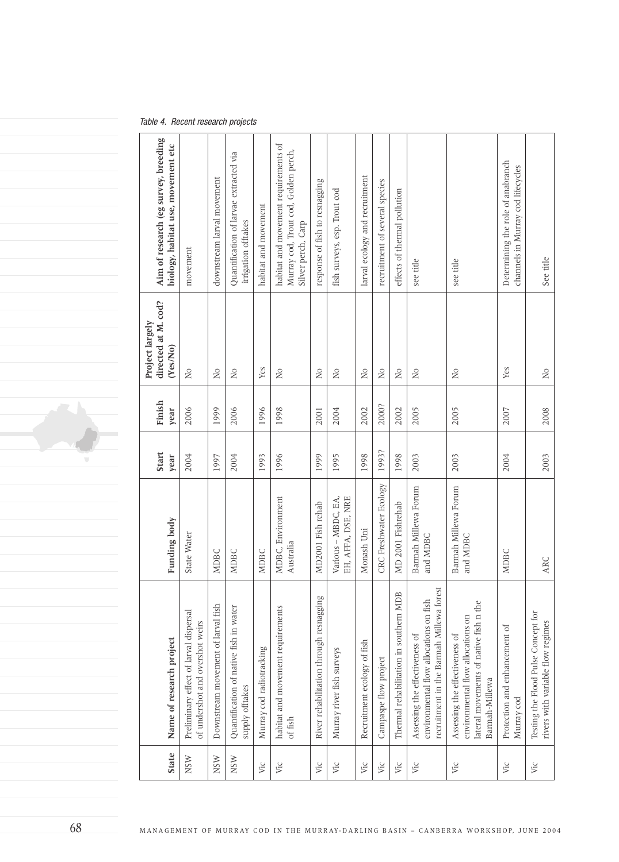#### Table 4. Recent research projects

| Name of research project                                                                                                        | Funding body                              | Start<br>year | Finish<br>year | directed at M. cod?<br>Project largely<br>(Yes/No)                          | Aim of research (eg survey, breeding<br>biology, habitat use, movement etc                         |
|---------------------------------------------------------------------------------------------------------------------------------|-------------------------------------------|---------------|----------------|-----------------------------------------------------------------------------|----------------------------------------------------------------------------------------------------|
| Preliminary effect of larval dispersal<br>of undershot and overshot weirs                                                       | State Water                               | 2004          | 2006           | $\gtrsim$                                                                   | movement                                                                                           |
| Downstream movement of larval fish                                                                                              | <b>MDBC</b>                               | 1997          | 1999           | $\rm _{NO}$                                                                 | downstream larval movement                                                                         |
| Quantification of native fish in water<br>supply offtakes                                                                       | NDBC                                      | 2004          | 2006           | $\rm N$                                                                     | Quantification of larvae extracted via<br>irrigation offtakes                                      |
| Murray cod radiotracking                                                                                                        | NDBC                                      | 1993          | 1996           | Yes                                                                         | habitat and movement                                                                               |
| habitat and movement requirements<br>of fish                                                                                    | MDBC, Environment<br>Australia            | 1996          | 1998           | $\rm _{NO}$                                                                 | habitat and movement requirements of<br>Murray cod, Trout cod, Golden perch,<br>Silver perch, Carp |
| River rehabilitation through resnagging                                                                                         | MD2001 Fish rehab                         | 1999          | 2001           | $\rm N$                                                                     | response of fish to resnagging                                                                     |
| Murray river fish surveys                                                                                                       | EH, AFFA, DSE, NRE<br>Various - MBDC, EA, | 1995          | 2004           | $\rm _{N}^{\odot}$                                                          | fish surveys, esp. Trout cod                                                                       |
| Recruitment ecology of fish                                                                                                     | Monash Uni                                | 1998          | 2002           | $\rm \stackrel{\circ}{\rm N}$                                               | larval ecology and recruitment                                                                     |
| Campaspe flow project                                                                                                           | CRC Freshwater Ecology                    | 1993?         | 2000?          | $\rm N$                                                                     | recruitment of several species                                                                     |
| Thermal rehabilitation in southern MDB                                                                                          | MD 2001 Fishrehab                         | 1998          | 2002           | $\rm \stackrel{\circ}{X}$                                                   | effects of thermal pollution                                                                       |
| recruitment in the Barmah Millewa forest<br>environmental flow allocations on fish<br>Assessing the effectiveness of            | Barmah Millewa Forum<br>and MDBC          | 2003          | 2005           | $\rm \stackrel{\circ}{\rm \hspace{-0.8ex} \raisebox{0.5ex}{\scriptsize x}}$ | see title                                                                                          |
| lateral movements of native fish n the<br>environmental flow allocations on<br>Assessing the effectiveness of<br>Barmah-Millewa | Barmah Millewa Forum<br>and MDBC          | 2003          | 2005           | $\rm _{NO}$                                                                 | see title                                                                                          |
| Protection and enhancement of<br>Murray cod                                                                                     | NDBC                                      | 2004          | 2007           | Yes                                                                         | Determining the role of anabranch<br>channels in Murray cod lifecycles                             |
| Testing the Flood Pulse Concept for<br>rivers with variable flow regimes                                                        | ARC                                       | 2003          | 2008           | $\overline{R}$                                                              | See title                                                                                          |